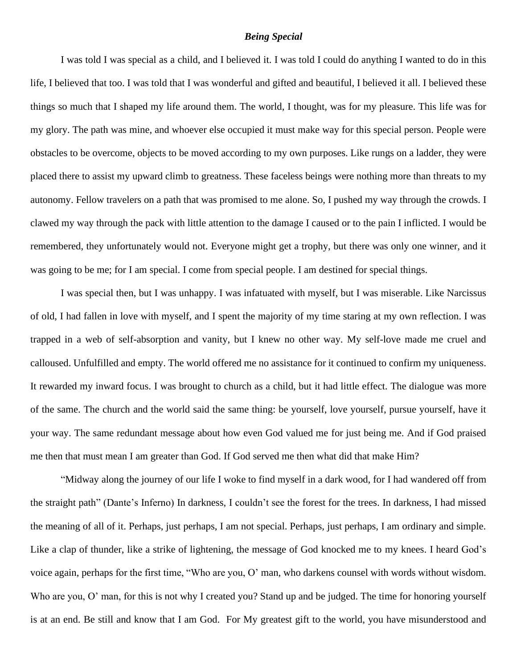## *Being Special*

I was told I was special as a child, and I believed it. I was told I could do anything I wanted to do in this life, I believed that too. I was told that I was wonderful and gifted and beautiful, I believed it all. I believed these things so much that I shaped my life around them. The world, I thought, was for my pleasure. This life was for my glory. The path was mine, and whoever else occupied it must make way for this special person. People were obstacles to be overcome, objects to be moved according to my own purposes. Like rungs on a ladder, they were placed there to assist my upward climb to greatness. These faceless beings were nothing more than threats to my autonomy. Fellow travelers on a path that was promised to me alone. So, I pushed my way through the crowds. I clawed my way through the pack with little attention to the damage I caused or to the pain I inflicted. I would be remembered, they unfortunately would not. Everyone might get a trophy, but there was only one winner, and it was going to be me; for I am special. I come from special people. I am destined for special things.

I was special then, but I was unhappy. I was infatuated with myself, but I was miserable. Like Narcissus of old, I had fallen in love with myself, and I spent the majority of my time staring at my own reflection. I was trapped in a web of self-absorption and vanity, but I knew no other way. My self-love made me cruel and calloused. Unfulfilled and empty. The world offered me no assistance for it continued to confirm my uniqueness. It rewarded my inward focus. I was brought to church as a child, but it had little effect. The dialogue was more of the same. The church and the world said the same thing: be yourself, love yourself, pursue yourself, have it your way. The same redundant message about how even God valued me for just being me. And if God praised me then that must mean I am greater than God. If God served me then what did that make Him?

"Midway along the journey of our life I woke to find myself in a dark wood, for I had wandered off from the straight path" (Dante's Inferno) In darkness, I couldn't see the forest for the trees. In darkness, I had missed the meaning of all of it. Perhaps, just perhaps, I am not special. Perhaps, just perhaps, I am ordinary and simple. Like a clap of thunder, like a strike of lightening, the message of God knocked me to my knees. I heard God's voice again, perhaps for the first time, "Who are you, O' man, who darkens counsel with words without wisdom. Who are you, O' man, for this is not why I created you? Stand up and be judged. The time for honoring yourself is at an end. Be still and know that I am God. For My greatest gift to the world, you have misunderstood and